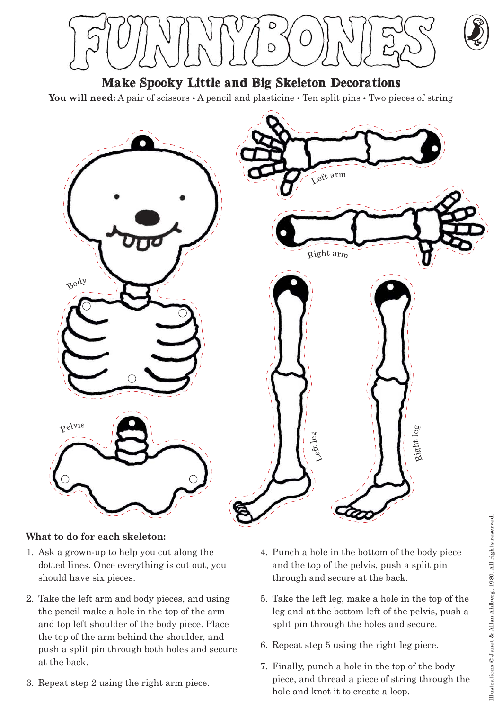**Make Spooky Little and Big Skeleton Decorations**

You will need: A pair of scissors  $\cdot$  A pencil and plasticine  $\cdot$  Ten split pins  $\cdot$  Two pieces of string



## **What to do for each skeleton:**

- 1. Ask a grown-up to help you cut along the dotted lines. Once everything is cut out, you should have six pieces.
- 2. Take the left arm and body pieces, and using the pencil make a hole in the top of the arm and top left shoulder of the body piece. Place the top of the arm behind the shoulder, and push a split pin through both holes and secure at the back.
- 3. Repeat step 2 using the right arm piece.
- 4. Punch a hole in the bottom of the body piece and the top of the pelvis, push a split pin through and secure at the back.
- 5. Take the left leg, make a hole in the top of the leg and at the bottom left of the pelvis, push a split pin through the holes and secure.
- 6. Repeat step 5 using the right leg piece.
- 7. Finally, punch a hole in the top of the body piece, and thread a piece of string through the hole and knot it to create a loop.